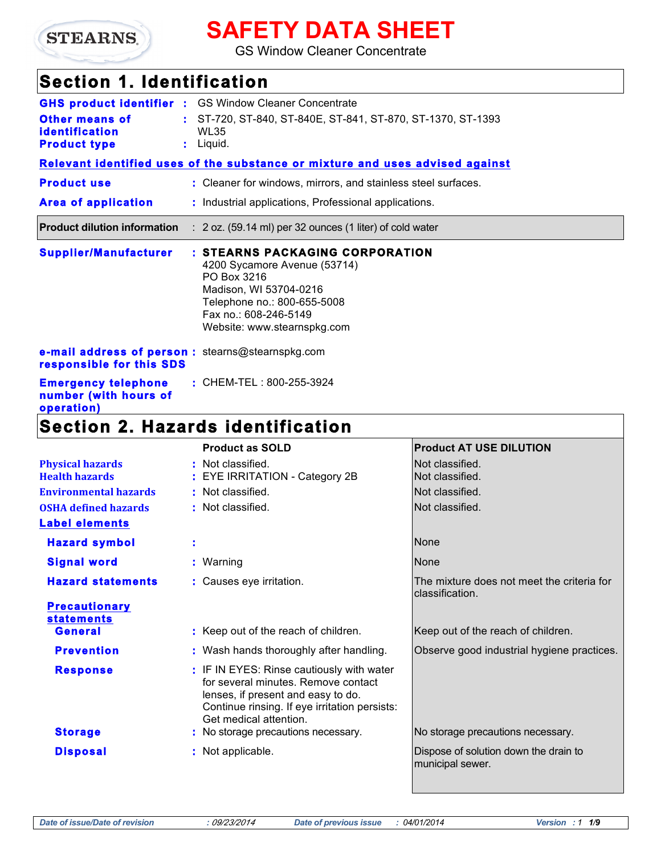

# **SAFETY DATA SHEET**

GS Window Cleaner Concentrate

# **Section 1. Identification**

|                                                                               |                                                                     | <b>GHS product identifier :</b> GS Window Cleaner Concentrate                                                                                                                                   |                                |  |
|-------------------------------------------------------------------------------|---------------------------------------------------------------------|-------------------------------------------------------------------------------------------------------------------------------------------------------------------------------------------------|--------------------------------|--|
| <b>Other means of</b><br><b>identification</b>                                | : ST-720, ST-840, ST-840E, ST-841, ST-870, ST-1370, ST-1393<br>WL35 |                                                                                                                                                                                                 |                                |  |
| <b>Product type</b>                                                           |                                                                     | $:$ Liquid.                                                                                                                                                                                     |                                |  |
|                                                                               |                                                                     | Relevant identified uses of the substance or mixture and uses advised against                                                                                                                   |                                |  |
| <b>Product use</b>                                                            |                                                                     | : Cleaner for windows, mirrors, and stainless steel surfaces.                                                                                                                                   |                                |  |
| <b>Area of application</b>                                                    |                                                                     | : Industrial applications, Professional applications.                                                                                                                                           |                                |  |
| <b>Product dilution information</b>                                           |                                                                     | $: 2$ oz. (59.14 ml) per 32 ounces (1 liter) of cold water                                                                                                                                      |                                |  |
| <b>Supplier/Manufacturer</b>                                                  |                                                                     | : STEARNS PACKAGING CORPORATION<br>4200 Sycamore Avenue (53714)<br>PO Box 3216<br>Madison, WI 53704-0216<br>Telephone no.: 800-655-5008<br>Fax no.: 608-246-5149<br>Website: www.stearnspkg.com |                                |  |
| e-mail address of person : stearns@stearnspkg.com<br>responsible for this SDS |                                                                     |                                                                                                                                                                                                 |                                |  |
| <b>Emergency telephone</b><br>number (with hours of<br>operation)             |                                                                     | : CHEM-TEL: 800-255-3924                                                                                                                                                                        |                                |  |
|                                                                               |                                                                     | <b>Section 2. Hazards identification</b>                                                                                                                                                        |                                |  |
|                                                                               |                                                                     | <b>Product as SOLD</b>                                                                                                                                                                          | <b>Product AT USE DILUTION</b> |  |

| <b>Physical hazards</b>                                 | : Not classified.                                                                                                                                                                                 | Not classified.                                               |
|---------------------------------------------------------|---------------------------------------------------------------------------------------------------------------------------------------------------------------------------------------------------|---------------------------------------------------------------|
| <b>Health hazards</b><br>: EYE IRRITATION - Category 2B |                                                                                                                                                                                                   | Not classified.                                               |
| <b>Environmental hazards</b>                            | : Not classified.                                                                                                                                                                                 | Not classified.                                               |
| <b>OSHA defined hazards</b>                             | : Not classified.                                                                                                                                                                                 | Not classified.                                               |
| <b>Label elements</b>                                   |                                                                                                                                                                                                   |                                                               |
| <b>Hazard symbol</b>                                    | ÷                                                                                                                                                                                                 | None                                                          |
| <b>Signal word</b>                                      | : Warning                                                                                                                                                                                         | None                                                          |
| <b>Hazard statements</b>                                | : Causes eye irritation.                                                                                                                                                                          | The mixture does not meet the criteria for<br>classification. |
| <b>Precautionary</b>                                    |                                                                                                                                                                                                   |                                                               |
| <b>statements</b>                                       |                                                                                                                                                                                                   |                                                               |
| <b>General</b>                                          | : Keep out of the reach of children.                                                                                                                                                              | Keep out of the reach of children.                            |
| <b>Prevention</b>                                       | : Wash hands thoroughly after handling.                                                                                                                                                           | Observe good industrial hygiene practices.                    |
| <b>Response</b>                                         | : IF IN EYES: Rinse cautiously with water<br>for several minutes. Remove contact<br>lenses, if present and easy to do.<br>Continue rinsing. If eye irritation persists:<br>Get medical attention. |                                                               |
| <b>Storage</b>                                          | : No storage precautions necessary.                                                                                                                                                               | No storage precautions necessary.                             |
| <b>Disposal</b>                                         | : Not applicable.                                                                                                                                                                                 | Dispose of solution down the drain to<br>municipal sewer.     |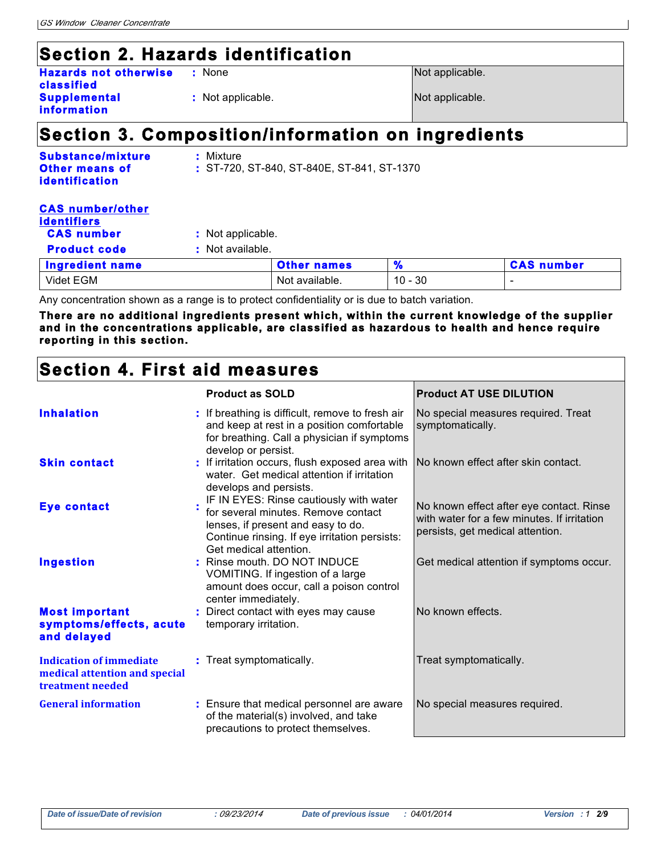# **Section 2. Hazards identification**

| <b>Hazards not otherwise</b> |  |
|------------------------------|--|
| classified                   |  |
| <b>Supplemental</b>          |  |
| information                  |  |

Not applicable. **Not** applicable.

**None** Not applicable.

# **Section 3. Composition/information on ingredients**

| Substance/mixture     | : Mixture                                    |
|-----------------------|----------------------------------------------|
| <b>Other means of</b> | $:$ ST-720, ST-840, ST-840E, ST-841, ST-1370 |
| <b>identification</b> |                                              |

| <b>CAS number/other</b><br><b>identifiers</b> |                   |                    |           |                   |
|-----------------------------------------------|-------------------|--------------------|-----------|-------------------|
| <b>CAS number</b>                             | : Not applicable. |                    |           |                   |
| <b>Product code</b>                           | : Not available.  |                    |           |                   |
| <b>Ingredient name</b>                        |                   | <b>Other names</b> |           | <b>CAS number</b> |
| Videt EGM                                     |                   | Not available.     | $10 - 30$ | ۰                 |

Any concentration shown as a range is to protect confidentiality or is due to batch variation.

**There are no additional ingredients present which, within the current knowledge of the supplier and in the concentrations applicable, are classified as hazardous to health and hence require reporting in this section.**

## **Section 4. First aid measures**

|                                                                                     | <b>Product as SOLD</b>                                                                                                                                                                          | <b>Product AT USE DILUTION</b>                                                                                              |
|-------------------------------------------------------------------------------------|-------------------------------------------------------------------------------------------------------------------------------------------------------------------------------------------------|-----------------------------------------------------------------------------------------------------------------------------|
| <b>Inhalation</b>                                                                   | : If breathing is difficult, remove to fresh air<br>and keep at rest in a position comfortable<br>for breathing. Call a physician if symptoms<br>develop or persist.                            | No special measures required. Treat<br>symptomatically.                                                                     |
| <b>Skin contact</b>                                                                 | : If irritation occurs, flush exposed area with<br>water. Get medical attention if irritation<br>develops and persists.                                                                         | No known effect after skin contact.                                                                                         |
| <b>Eye contact</b>                                                                  | IF IN EYES: Rinse cautiously with water<br>for several minutes. Remove contact<br>lenses, if present and easy to do.<br>Continue rinsing. If eye irritation persists:<br>Get medical attention. | No known effect after eye contact. Rinse<br>with water for a few minutes. If irritation<br>persists, get medical attention. |
| <b>Ingestion</b>                                                                    | : Rinse mouth. DO NOT INDUCE<br>VOMITING. If ingestion of a large<br>amount does occur, call a poison control<br>center immediately.                                                            | Get medical attention if symptoms occur.                                                                                    |
| <b>Most important</b><br>symptoms/effects, acute<br>and delayed                     | : Direct contact with eyes may cause<br>temporary irritation.                                                                                                                                   | No known effects.                                                                                                           |
| <b>Indication of immediate</b><br>medical attention and special<br>treatment needed | : Treat symptomatically.                                                                                                                                                                        | Treat symptomatically.                                                                                                      |
| <b>General information</b>                                                          | : Ensure that medical personnel are aware<br>of the material(s) involved, and take<br>precautions to protect themselves.                                                                        | No special measures required.                                                                                               |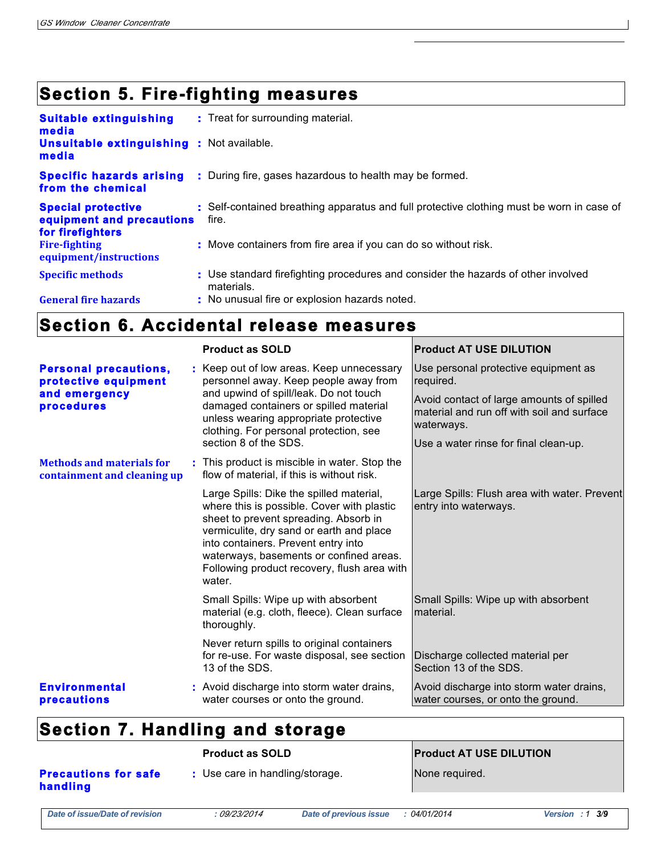# **Section 5. Fire-fighting measures**

| <b>Suitable extinguishing</b><br>media<br><b>Unsuitable extinguishing : Not available.</b><br>media | : Treat for surrounding material.                                                                  |
|-----------------------------------------------------------------------------------------------------|----------------------------------------------------------------------------------------------------|
| <b>Specific hazards arising</b><br>from the chemical                                                | : During fire, gases hazardous to health may be formed.                                            |
| <b>Special protective</b><br>equipment and precautions<br>for firefighters                          | : Self-contained breathing apparatus and full protective clothing must be worn in case of<br>fire. |
| <b>Fire-fighting</b><br>equipment/instructions                                                      | : Move containers from fire area if you can do so without risk.                                    |
| <b>Specific methods</b>                                                                             | : Use standard firefighting procedures and consider the hazards of other involved<br>materials.    |
| <b>General fire hazards</b>                                                                         | : No unusual fire or explosion hazards noted.                                                      |

### **Section 6. Accidental release measures**

|                                                                                            | <b>Product as SOLD</b> |                                                                                                                                                                                                                                                                                                                        | <b>Product AT USE DILUTION</b>                                                                                                                                                                      |  |
|--------------------------------------------------------------------------------------------|------------------------|------------------------------------------------------------------------------------------------------------------------------------------------------------------------------------------------------------------------------------------------------------------------------------------------------------------------|-----------------------------------------------------------------------------------------------------------------------------------------------------------------------------------------------------|--|
| <b>Personal precautions,</b><br>protective equipment<br>and emergency<br><b>procedures</b> |                        | : Keep out of low areas. Keep unnecessary<br>personnel away. Keep people away from<br>and upwind of spill/leak. Do not touch<br>damaged containers or spilled material<br>unless wearing appropriate protective<br>clothing. For personal protection, see<br>section 8 of the SDS.                                     | Use personal protective equipment as<br>required.<br>Avoid contact of large amounts of spilled<br>material and run off with soil and surface<br>waterways.<br>Use a water rinse for final clean-up. |  |
| <b>Methods and materials for</b><br>containment and cleaning up                            |                        | : This product is miscible in water. Stop the<br>flow of material, if this is without risk.                                                                                                                                                                                                                            |                                                                                                                                                                                                     |  |
|                                                                                            |                        | Large Spills: Dike the spilled material,<br>where this is possible. Cover with plastic<br>sheet to prevent spreading. Absorb in<br>vermiculite, dry sand or earth and place<br>into containers. Prevent entry into<br>waterways, basements or confined areas.<br>Following product recovery, flush area with<br>water. | Large Spills: Flush area with water. Prevent<br>entry into waterways.                                                                                                                               |  |
|                                                                                            |                        | Small Spills: Wipe up with absorbent<br>material (e.g. cloth, fleece). Clean surface<br>thoroughly.                                                                                                                                                                                                                    | Small Spills: Wipe up with absorbent<br>material.                                                                                                                                                   |  |
|                                                                                            |                        | Never return spills to original containers<br>for re-use. For waste disposal, see section<br>13 of the SDS.                                                                                                                                                                                                            | Discharge collected material per<br>Section 13 of the SDS.                                                                                                                                          |  |
| <b>Environmental</b><br><b>precautions</b>                                                 |                        | : Avoid discharge into storm water drains,<br>water courses or onto the ground.                                                                                                                                                                                                                                        | Avoid discharge into storm water drains,<br>water courses, or onto the ground.                                                                                                                      |  |

# **Section 7. Handling and storage**

|                                                                            | <b>Product as SOLD</b> |                        | <b>Product AT USE DILUTION</b> |                      |  |
|----------------------------------------------------------------------------|------------------------|------------------------|--------------------------------|----------------------|--|
| : Use care in handling/storage.<br><b>Precautions for safe</b><br>handling |                        | None required.         |                                |                      |  |
| Date of issue/Date of revision                                             | : 09/23/2014           | Date of previous issue | <i>04/01/2014</i>              | Version : $1 \, 3/9$ |  |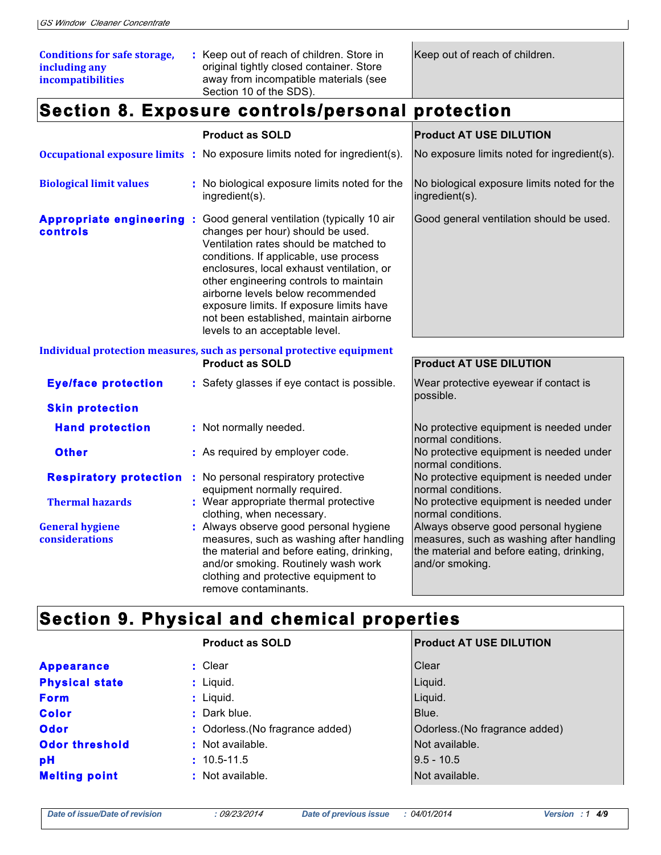| <b>Conditions for safe storage,</b><br>including any<br>incompatibilities |  | : Keep out of reach of children. Store in<br>original tightly closed container. Store<br>away from incompatible materials (see<br>Section 10 of the SDS).                                                                                                                                                                                                                                                                                          | Keep out of reach of children.                                                                                                                   |
|---------------------------------------------------------------------------|--|----------------------------------------------------------------------------------------------------------------------------------------------------------------------------------------------------------------------------------------------------------------------------------------------------------------------------------------------------------------------------------------------------------------------------------------------------|--------------------------------------------------------------------------------------------------------------------------------------------------|
|                                                                           |  | Section 8. Exposure controls/personal protection                                                                                                                                                                                                                                                                                                                                                                                                   |                                                                                                                                                  |
|                                                                           |  | <b>Product as SOLD</b>                                                                                                                                                                                                                                                                                                                                                                                                                             | <b>Product AT USE DILUTION</b>                                                                                                                   |
|                                                                           |  | <b>Occupational exposure limits :</b> No exposure limits noted for ingredient(s).                                                                                                                                                                                                                                                                                                                                                                  | No exposure limits noted for ingredient(s).                                                                                                      |
| <b>Biological limit values</b>                                            |  | : No biological exposure limits noted for the<br>ingredient(s).                                                                                                                                                                                                                                                                                                                                                                                    | No biological exposure limits noted for the<br>ingredient(s).                                                                                    |
| controls                                                                  |  | Appropriate engineering : Good general ventilation (typically 10 air<br>changes per hour) should be used.<br>Ventilation rates should be matched to<br>conditions. If applicable, use process<br>enclosures, local exhaust ventilation, or<br>other engineering controls to maintain<br>airborne levels below recommended<br>exposure limits. If exposure limits have<br>not been established, maintain airborne<br>levels to an acceptable level. | Good general ventilation should be used.                                                                                                         |
|                                                                           |  | Individual protection measures, such as personal protective equipment<br><b>Product as SOLD</b>                                                                                                                                                                                                                                                                                                                                                    | <b>Product AT USE DILUTION</b>                                                                                                                   |
| <b>Eye/face protection</b>                                                |  | : Safety glasses if eye contact is possible.                                                                                                                                                                                                                                                                                                                                                                                                       | Wear protective eyewear if contact is<br>possible.                                                                                               |
| <b>Skin protection</b>                                                    |  |                                                                                                                                                                                                                                                                                                                                                                                                                                                    |                                                                                                                                                  |
| <b>Hand protection</b>                                                    |  | : Not normally needed.                                                                                                                                                                                                                                                                                                                                                                                                                             | No protective equipment is needed under<br>normal conditions.                                                                                    |
| <b>Other</b>                                                              |  | : As required by employer code.                                                                                                                                                                                                                                                                                                                                                                                                                    | No protective equipment is needed under<br>normal conditions.                                                                                    |
| <b>Respiratory protection</b>                                             |  | : No personal respiratory protective<br>equipment normally required.                                                                                                                                                                                                                                                                                                                                                                               | No protective equipment is needed under<br>normal conditions.                                                                                    |
| <b>Thermal hazards</b>                                                    |  | : Wear appropriate thermal protective<br>clothing, when necessary.                                                                                                                                                                                                                                                                                                                                                                                 | No protective equipment is needed under<br>normal conditions.                                                                                    |
| <b>General hygiene</b><br>considerations                                  |  | : Always observe good personal hygiene<br>measures, such as washing after handling<br>the material and before eating, drinking,<br>and/or smoking. Routinely wash work<br>clothing and protective equipment to<br>remove contaminants.                                                                                                                                                                                                             | Always observe good personal hygiene<br>measures, such as washing after handling<br>the material and before eating, drinking,<br>and/or smoking. |

# **Section 9. Physical and chemical properties**

| <b>Product AT USE DILUTION</b> |
|--------------------------------|
|                                |
|                                |
|                                |
|                                |
| Odorless. (No fragrance added) |
|                                |
|                                |
|                                |
|                                |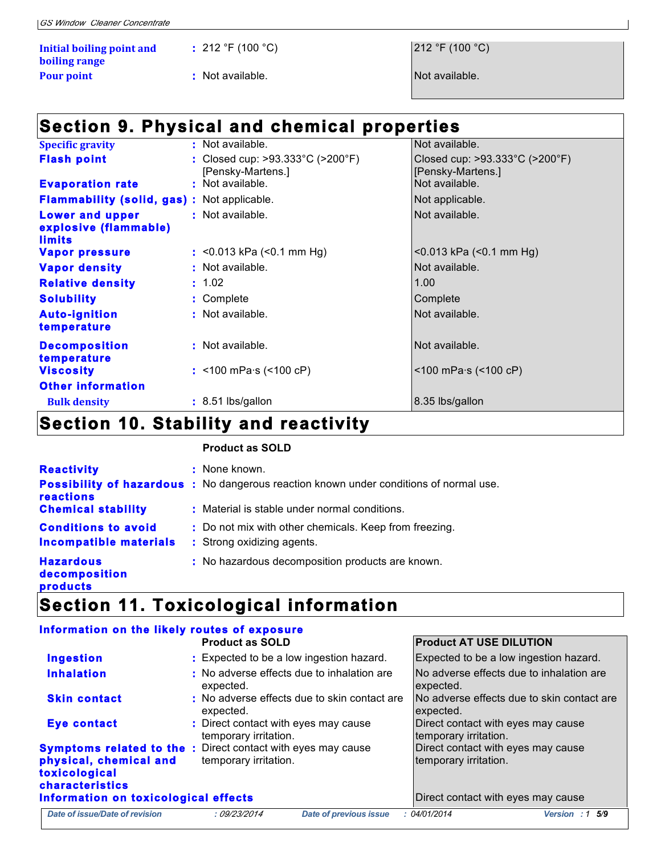|  |  | <b>GS Window Cleaner Concentrate</b> |
|--|--|--------------------------------------|
|  |  |                                      |

| Initial boiling point and | : 212 °F (100 °C) | 212 °F (100 °  |
|---------------------------|-------------------|----------------|
| boiling range             |                   |                |
| <b>Pour point</b>         | : Not available.  | Not available. |

**:** 212 °F (100 °C) 212 °F (100 °C)

## **Section 9. Physical and chemical properties**

| <b>Specific gravity</b>                                                                                                                                                                                                            | : Not available.                                                           | Not available.                                                           |
|------------------------------------------------------------------------------------------------------------------------------------------------------------------------------------------------------------------------------------|----------------------------------------------------------------------------|--------------------------------------------------------------------------|
| <b>Flash point</b>                                                                                                                                                                                                                 | : Closed cup: $>93.333^{\circ}$ C ( $>200^{\circ}$ F)<br>[Pensky-Martens.] | Closed cup: $>93.333^{\circ}$ C ( $>200^{\circ}$ F)<br>[Pensky-Martens.] |
| <b>Evaporation rate</b>                                                                                                                                                                                                            | : Not available.                                                           | Not available.                                                           |
| <b>Flammability (solid, gas): Not applicable.</b>                                                                                                                                                                                  |                                                                            | Not applicable.                                                          |
| <b>Lower and upper</b><br>explosive (flammable)<br><u>limits</u>                                                                                                                                                                   | : Not available.                                                           | Not available.                                                           |
| Vapor pressure                                                                                                                                                                                                                     | : <0.013 kPa $($ <0.1 mm Hg $)$                                            | $< 0.013$ kPa $(< 0.1$ mm Hg)                                            |
| <b>Vapor density</b>                                                                                                                                                                                                               | : Not available.                                                           | Not available.                                                           |
| <b>Relative density</b>                                                                                                                                                                                                            | : 1.02                                                                     | 1.00                                                                     |
| <b>Solubility</b>                                                                                                                                                                                                                  | : Complete                                                                 | Complete                                                                 |
| <b>Auto-ignition</b><br>temperature                                                                                                                                                                                                | : Not available.                                                           | Not available.                                                           |
| <b>Decomposition</b><br>temperature                                                                                                                                                                                                | : Not available.                                                           | Not available.                                                           |
| <b>Viscosity</b>                                                                                                                                                                                                                   | : <100 mPa $\cdot$ s (<100 cP)                                             | $<$ 100 mPa $\cdot$ s ( $<$ 100 cP)                                      |
| <b>Other information</b>                                                                                                                                                                                                           |                                                                            |                                                                          |
| <b>Bulk density</b>                                                                                                                                                                                                                | : 8.51 lbs/gallon                                                          | 8.35 lbs/gallon                                                          |
| $\bullet$ is a second of the second contract of the second contract of the second contract of the second contract of the second contract of the second contract of the second contract of the second contract of the second contra | .                                                                          |                                                                          |

### **Section 10. Stability and reactivity**

#### **Product as SOLD**

| <b>Reactivity</b>                                           | : None known.<br><b>Possibility of hazardous</b> : No dangerous reaction known under conditions of normal use. |
|-------------------------------------------------------------|----------------------------------------------------------------------------------------------------------------|
| reactions<br><b>Chemical stability</b>                      | : Material is stable under normal conditions.                                                                  |
| <b>Conditions to avoid</b><br><b>Incompatible materials</b> | : Do not mix with other chemicals. Keep from freezing.<br>: Strong oxidizing agents.                           |
| <b>Hazardous</b><br>decomposition<br><b>products</b>        | : No hazardous decomposition products are known.                                                               |
|                                                             |                                                                                                                |

### **Section 11. Toxicological information**

# **Information on the likely routes of exposure**

|                                                            | <b>Product as SOLD</b>                                                                      | <b>Product AT USE DILUTION</b>                              |
|------------------------------------------------------------|---------------------------------------------------------------------------------------------|-------------------------------------------------------------|
| <b>Ingestion</b>                                           | : Expected to be a low ingestion hazard.                                                    | Expected to be a low ingestion hazard.                      |
| <b>Inhalation</b>                                          | : No adverse effects due to inhalation are<br>expected.                                     | No adverse effects due to inhalation are<br>expected.       |
| <b>Skin contact</b>                                        | : No adverse effects due to skin contact are<br>expected.                                   | No adverse effects due to skin contact are<br>expected.     |
| Eye contact                                                | : Direct contact with eyes may cause<br>temporary irritation.                               | Direct contact with eyes may cause<br>temporary irritation. |
| physical, chemical and<br>toxicological<br>characteristics | <b>Symptoms related to the:</b> Direct contact with eyes may cause<br>temporary irritation. | Direct contact with eyes may cause<br>temporary irritation. |
| Information on toxicological effects                       |                                                                                             | Direct contact with eyes may cause                          |
| Date of issue/Date of revision                             | <b>Date of previous issue</b><br>: 09/23/2014                                               | : 04/01/2014<br>Version : $1\,5/9$                          |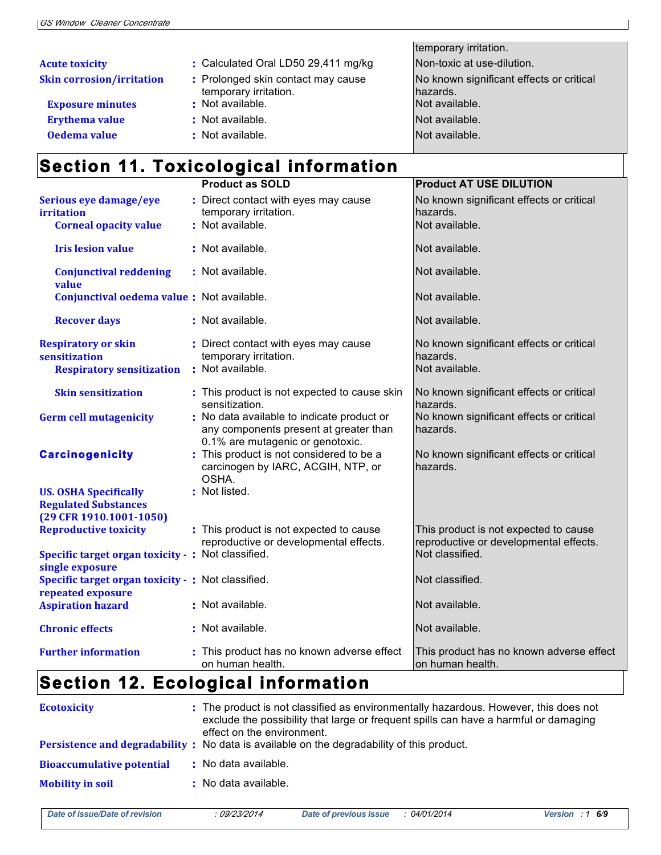|                                  |                                                             | temporary irritation.                                |
|----------------------------------|-------------------------------------------------------------|------------------------------------------------------|
| <b>Acute toxicity</b>            | : Calculated Oral LD50 29,411 mg/kg                         | Non-toxic at use-dilution.                           |
| <b>Skin corrosion/irritation</b> | : Prolonged skin contact may cause<br>temporary irritation. | No known significant effects or critical<br>hazards. |
| <b>Exposure minutes</b>          | : Not available.                                            | Not available.                                       |
| <b>Erythema value</b>            | : Not available.                                            | Not available.                                       |
| Oedema value                     | : Not available.                                            | Not available.                                       |

# **Section 11. Toxicological information**

| <b>Product as SOLD</b>                      | <b>Product AT USE DILUTION</b>                                                                                                                                                                                                                                                                                                                                                                                                                                                                                                                                                                                                                                           |
|---------------------------------------------|--------------------------------------------------------------------------------------------------------------------------------------------------------------------------------------------------------------------------------------------------------------------------------------------------------------------------------------------------------------------------------------------------------------------------------------------------------------------------------------------------------------------------------------------------------------------------------------------------------------------------------------------------------------------------|
| temporary irritation.                       | No known significant effects or critical<br>hazards.                                                                                                                                                                                                                                                                                                                                                                                                                                                                                                                                                                                                                     |
|                                             | Not available.                                                                                                                                                                                                                                                                                                                                                                                                                                                                                                                                                                                                                                                           |
|                                             | Not available.                                                                                                                                                                                                                                                                                                                                                                                                                                                                                                                                                                                                                                                           |
|                                             | Not available.                                                                                                                                                                                                                                                                                                                                                                                                                                                                                                                                                                                                                                                           |
|                                             | Not available.                                                                                                                                                                                                                                                                                                                                                                                                                                                                                                                                                                                                                                                           |
|                                             | Not available.                                                                                                                                                                                                                                                                                                                                                                                                                                                                                                                                                                                                                                                           |
| temporary irritation.                       | No known significant effects or critical<br>hazards.<br>Not available.                                                                                                                                                                                                                                                                                                                                                                                                                                                                                                                                                                                                   |
|                                             |                                                                                                                                                                                                                                                                                                                                                                                                                                                                                                                                                                                                                                                                          |
| sensitization.                              | No known significant effects or critical<br>hazards.                                                                                                                                                                                                                                                                                                                                                                                                                                                                                                                                                                                                                     |
| any components present at greater than      | No known significant effects or critical<br>hazards.                                                                                                                                                                                                                                                                                                                                                                                                                                                                                                                                                                                                                     |
| carcinogen by IARC, ACGIH, NTP, or<br>OSHA. | No known significant effects or critical<br>hazards.                                                                                                                                                                                                                                                                                                                                                                                                                                                                                                                                                                                                                     |
|                                             |                                                                                                                                                                                                                                                                                                                                                                                                                                                                                                                                                                                                                                                                          |
|                                             |                                                                                                                                                                                                                                                                                                                                                                                                                                                                                                                                                                                                                                                                          |
| reproductive or developmental effects.      | This product is not expected to cause<br>reproductive or developmental effects.                                                                                                                                                                                                                                                                                                                                                                                                                                                                                                                                                                                          |
|                                             | Not classified.                                                                                                                                                                                                                                                                                                                                                                                                                                                                                                                                                                                                                                                          |
|                                             | Not classified.                                                                                                                                                                                                                                                                                                                                                                                                                                                                                                                                                                                                                                                          |
|                                             | Not available.                                                                                                                                                                                                                                                                                                                                                                                                                                                                                                                                                                                                                                                           |
|                                             | Not available.                                                                                                                                                                                                                                                                                                                                                                                                                                                                                                                                                                                                                                                           |
| on human health.                            | This product has no known adverse effect<br>on human health.                                                                                                                                                                                                                                                                                                                                                                                                                                                                                                                                                                                                             |
|                                             | Direct contact with eyes may cause<br>: Not available.<br>: Not available.<br>: Not available.<br>Conjunctival oedema value : Not available.<br>: Not available.<br>: Direct contact with eyes may cause<br>: Not available.<br>: This product is not expected to cause skin<br>: No data available to indicate product or<br>0.1% are mutagenic or genotoxic.<br>: This product is not considered to be a<br>: Not listed.<br>: This product is not expected to cause<br>Specific target organ toxicity - : Not classified.<br>Specific target organ toxicity - : Not classified.<br>: Not available.<br>: Not available.<br>: This product has no known adverse effect |

# **Section 12. Ecological information**

| <b>Ecotoxicity</b>               | : The product is not classified as environmentally hazardous. However, this does not<br>exclude the possibility that large or frequent spills can have a harmful or damaging<br>effect on the environment.<br>Persistence and degradability: No data is available on the degradability of this product. |
|----------------------------------|---------------------------------------------------------------------------------------------------------------------------------------------------------------------------------------------------------------------------------------------------------------------------------------------------------|
| <b>Bioaccumulative potential</b> | : No data available.                                                                                                                                                                                                                                                                                    |
| <b>Mobility in soil</b>          | : No data available.                                                                                                                                                                                                                                                                                    |

| ate of issue/Date of revision |  |
|-------------------------------|--|
|-------------------------------|--|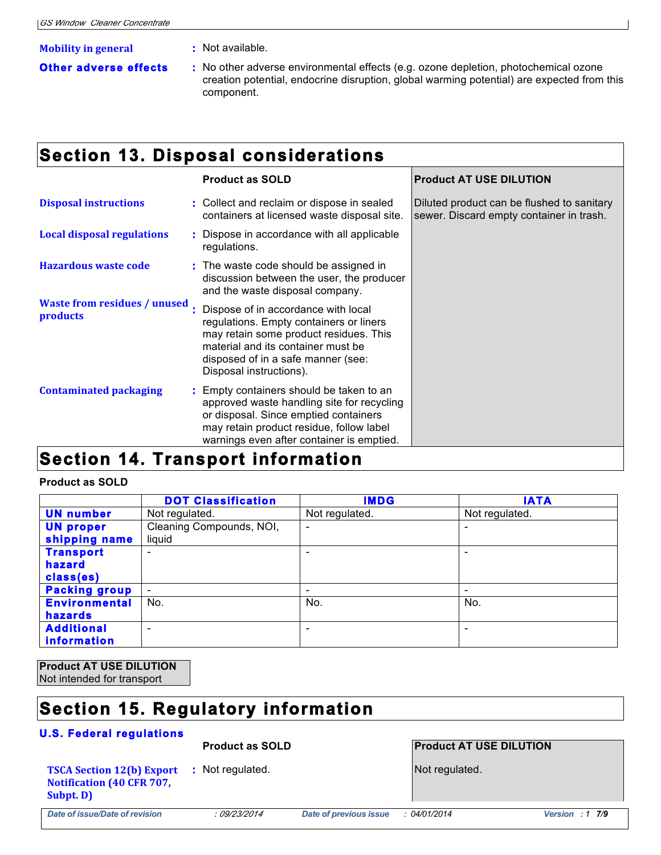#### **Mobility in general :** Not available.

- 
- 
- **Other adverse effects : No other adverse environmental effects (e.g. ozone depletion, photochemical ozone** creation potential, endocrine disruption, global warming potential) are expected from this component.

## **Section 13. Disposal considerations**

|                                                 |  | <b>Product as SOLD</b>                                                                                                                                                                                                          | <b>Product AT USE DILUTION</b>                                                         |
|-------------------------------------------------|--|---------------------------------------------------------------------------------------------------------------------------------------------------------------------------------------------------------------------------------|----------------------------------------------------------------------------------------|
| <b>Disposal instructions</b>                    |  | : Collect and reclaim or dispose in sealed<br>containers at licensed waste disposal site.                                                                                                                                       | Diluted product can be flushed to sanitary<br>sewer. Discard empty container in trash. |
| <b>Local disposal regulations</b>               |  | : Dispose in accordance with all applicable<br>regulations.                                                                                                                                                                     |                                                                                        |
| <b>Hazardous waste code</b>                     |  | : The waste code should be assigned in<br>discussion between the user, the producer<br>and the waste disposal company.                                                                                                          |                                                                                        |
| <b>Waste from residues / unused</b><br>products |  | Dispose of in accordance with local<br>regulations. Empty containers or liners<br>may retain some product residues. This<br>material and its container must be<br>disposed of in a safe manner (see:<br>Disposal instructions). |                                                                                        |
| <b>Contaminated packaging</b>                   |  | : Empty containers should be taken to an<br>approved waste handling site for recycling<br>or disposal. Since emptied containers<br>may retain product residue, follow label<br>warnings even after container is emptied.        |                                                                                        |
| Saction<br>Tranenart infarmatian                |  |                                                                                                                                                                                                                                 |                                                                                        |

#### **Section 14. Transport information**

#### **Product as SOLD**

|                      | <b>DOT Classification</b> | <b>IMDG</b>              | <b>IATA</b>    |
|----------------------|---------------------------|--------------------------|----------------|
| <b>UN number</b>     | Not regulated.            | Not regulated.           | Not regulated. |
| <b>UN proper</b>     | Cleaning Compounds, NOI,  | $\overline{\phantom{0}}$ |                |
| shipping name        | liquid                    |                          |                |
| <b>Transport</b>     | $\overline{\phantom{0}}$  | -                        |                |
| hazard               |                           |                          |                |
| class(es)            |                           |                          |                |
| <b>Packing group</b> | $\overline{\phantom{a}}$  |                          |                |
| <b>Environmental</b> | No.                       | No.                      | No.            |
| hazards              |                           |                          |                |
| <b>Additional</b>    | $\overline{\phantom{0}}$  | $\overline{\phantom{0}}$ | -              |
| <b>information</b>   |                           |                          |                |

**Product AT USE DILUTION**  Not intended for transport

## **Section 15. Regulatory information**

#### **U.S. Federal regulations**

#### **Product as SOLD Product AT USE DILUTION**

**:** Not regulated. **Not regulated.** Not regulated.

**TSCA Section 12(b) Export Notification (40 CFR 707, Subpt. D)**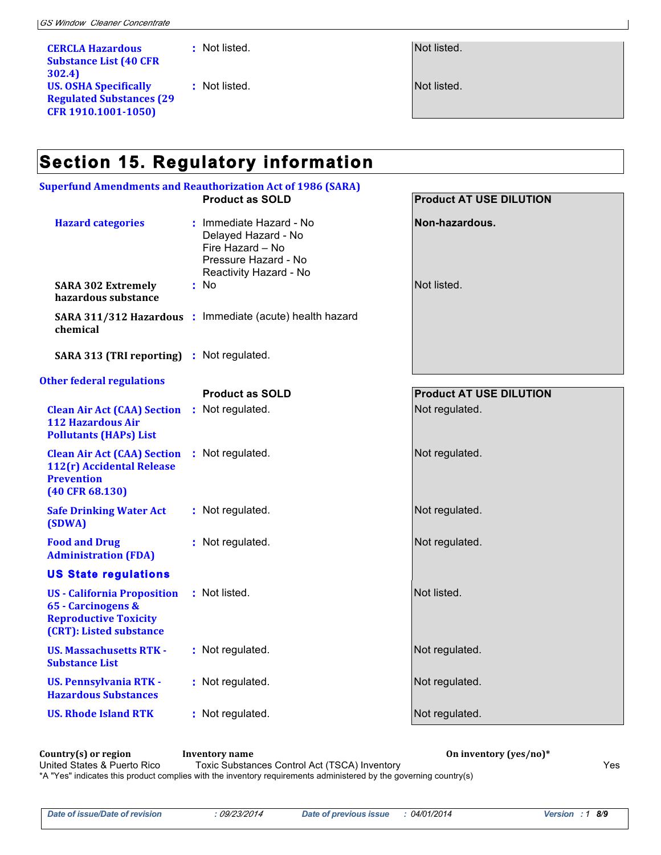**CERCLA Hazardous Substance List (40 CFR 302.4) US. OSHA Specifically Regulated Substances (29 CFR 1910.1001-1050)** 

**:** Not listed. Not listed.

**:** Not listed. Not listed.

## **Section 15. Regulatory information**

| <b>Superfund Amendments and Reauthorization Act of 1986 (SARA)</b>                                                  |                                                                                                                              |                                |  |  |
|---------------------------------------------------------------------------------------------------------------------|------------------------------------------------------------------------------------------------------------------------------|--------------------------------|--|--|
|                                                                                                                     | <b>Product as SOLD</b>                                                                                                       | <b>Product AT USE DILUTION</b> |  |  |
| <b>Hazard categories</b><br><b>SARA 302 Extremely</b>                                                               | : Immediate Hazard - No<br>Delayed Hazard - No<br>Fire Hazard - No<br>Pressure Hazard - No<br>Reactivity Hazard - No<br>: No | Non-hazardous.<br>Not listed.  |  |  |
| hazardous substance                                                                                                 |                                                                                                                              |                                |  |  |
| chemical                                                                                                            | SARA 311/312 Hazardous : Immediate (acute) health hazard                                                                     |                                |  |  |
| SARA 313 (TRI reporting) : Not regulated.                                                                           |                                                                                                                              |                                |  |  |
| <b>Other federal regulations</b>                                                                                    |                                                                                                                              |                                |  |  |
|                                                                                                                     | <b>Product as SOLD</b>                                                                                                       | <b>Product AT USE DILUTION</b> |  |  |
| <b>Clean Air Act (CAA) Section</b><br><b>112 Hazardous Air</b><br><b>Pollutants (HAPs) List</b>                     | : Not regulated.                                                                                                             | Not regulated.                 |  |  |
| <b>Clean Air Act (CAA) Section</b><br>112(r) Accidental Release<br><b>Prevention</b><br>$(40$ CFR $68.130)$         | : Not regulated.                                                                                                             | Not regulated.                 |  |  |
| <b>Safe Drinking Water Act</b><br>(SDWA)                                                                            | : Not regulated.                                                                                                             | Not regulated.                 |  |  |
| <b>Food and Drug</b><br><b>Administration (FDA)</b>                                                                 | : Not regulated.                                                                                                             | Not regulated.                 |  |  |
| <b>US State regulations</b>                                                                                         |                                                                                                                              |                                |  |  |
| <b>US</b> - California Proposition<br>65 - Carcinogens &<br><b>Reproductive Toxicity</b><br>(CRT): Listed substance | : Not listed.                                                                                                                | Not listed.                    |  |  |
| <b>US. Massachusetts RTK -</b><br><b>Substance List</b>                                                             | : Not regulated.                                                                                                             | Not regulated.                 |  |  |
| <b>US. Pennsylvania RTK -</b><br><b>Hazardous Substances</b>                                                        | : Not regulated.                                                                                                             | Not regulated.                 |  |  |
| <b>US. Rhode Island RTK</b>                                                                                         | : Not regulated.                                                                                                             | Not regulated.                 |  |  |

**Country(s) or region** Inventory name **Inventory name** On inventory (yes/no)\*<br>
United States & Puerto Rico Toxic Substances Control Act (TSCA) Inventory Toxic Substances Control Act (TSCA) Inventory **Night Act (TSCA)** Inventory Yes \*A "Yes" indicates this product complies with the inventory requirements administered by the governing country(s)